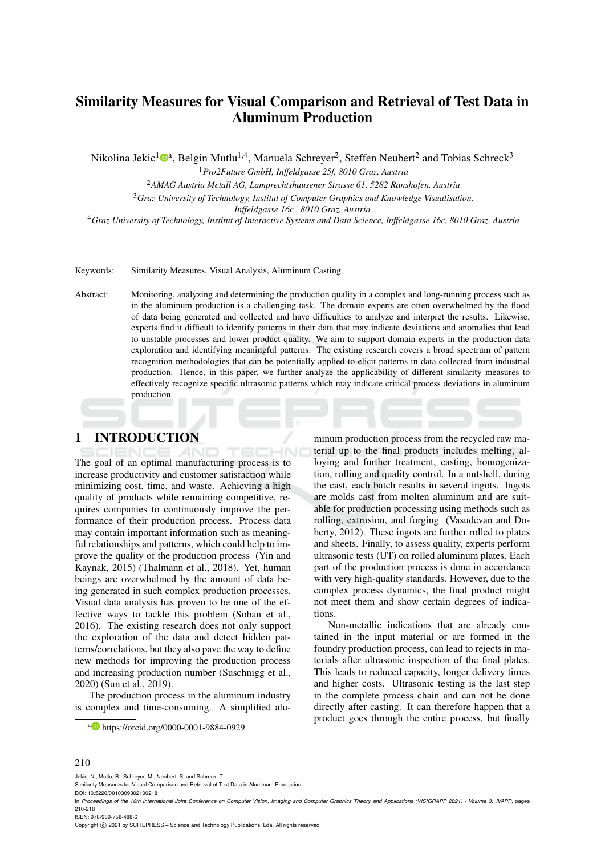# Similarity Measures for Visual Comparison and Retrieval of Test Data in Aluminum Production

Nikolina Jekic<sup>1</sup> $\mathbf{D}^a$ , Belgin Mutlu<sup>1,4</sup>, Manuela Schreyer<sup>2</sup>, Steffen Neubert<sup>2</sup> and Tobias Schreck<sup>3</sup>

<sup>1</sup>*Pro2Future GmbH, Inffeldgasse 25f, 8010 Graz, Austria*

<sup>2</sup>*AMAG Austria Metall AG, Lamprechtshausener Strasse 61, 5282 Ranshofen, Austria*

<sup>3</sup>*Graz University of Technology, Institut of Computer Graphics and Knowledge Visualisation,*

*Inffeldgasse 16c , 8010 Graz, Austria*

<sup>4</sup>*Graz University of Technology, Institut of Interactive Systems and Data Science, Inffeldgasse 16c, 8010 Graz, Austria*

Keywords: Similarity Measures, Visual Analysis, Aluminum Casting.

Abstract: Monitoring, analyzing and determining the production quality in a complex and long-running process such as in the aluminum production is a challenging task. The domain experts are often overwhelmed by the flood of data being generated and collected and have difficulties to analyze and interpret the results. Likewise, experts find it difficult to identify patterns in their data that may indicate deviations and anomalies that lead to unstable processes and lower product quality. We aim to support domain experts in the production data exploration and identifying meaningful patterns. The existing research covers a broad spectrum of pattern recognition methodologies that can be potentially applied to elicit patterns in data collected from industrial production. Hence, in this paper, we further analyze the applicability of different similarity measures to effectively recognize specific ultrasonic patterns which may indicate critical process deviations in aluminum production.

 $-10-11$ 

### 1 INTRODUCTION

The goal of an optimal manufacturing process is to increase productivity and customer satisfaction while minimizing cost, time, and waste. Achieving a high quality of products while remaining competitive, requires companies to continuously improve the performance of their production process. Process data may contain important information such as meaningful relationships and patterns, which could help to improve the quality of the production process (Yin and Kaynak, 2015) (Thalmann et al., 2018). Yet, human beings are overwhelmed by the amount of data being generated in such complex production processes. Visual data analysis has proven to be one of the effective ways to tackle this problem (Soban et al., 2016). The existing research does not only support the exploration of the data and detect hidden patterns/correlations, but they also pave the way to define new methods for improving the production process and increasing production number (Suschnigg et al., 2020) (Sun et al., 2019).

The production process in the aluminum industry is complex and time-consuming. A simplified aluminum production process from the recycled raw material up to the final products includes melting, alloying and further treatment, casting, homogenization, rolling and quality control. In a nutshell, during the cast, each batch results in several ingots. Ingots are molds cast from molten aluminum and are suitable for production processing using methods such as rolling, extrusion, and forging (Vasudevan and Doherty, 2012). These ingots are further rolled to plates and sheets. Finally, to assess quality, experts perform ultrasonic tests (UT) on rolled aluminum plates. Each part of the production process is done in accordance with very high-quality standards. However, due to the complex process dynamics, the final product might not meet them and show certain degrees of indications.

Non-metallic indications that are already contained in the input material or are formed in the foundry production process, can lead to rejects in materials after ultrasonic inspection of the final plates. This leads to reduced capacity, longer delivery times and higher costs. Ultrasonic testing is the last step in the complete process chain and can not be done directly after casting. It can therefore happen that a product goes through the entire process, but finally

#### 210

Jekic, N., Mutlu, B., Schreyer, M., Neubert, S. and Schreck, T.

DOI: 10.5220/0010309302100218

ISBN: 978-989-758-488-6

Copyright (C) 2021 by SCITEPRESS - Science and Technology Publications, Lda. All rights reserved

<sup>a</sup> https://orcid.org/0000-0001-9884-0929

Similarity Measures for Visual Comparison and Retrieval of Test Data in Aluminum Production.

In *Proceedings of the 16th International Joint Conference on Computer Vision, Imaging and Computer Graphics Theory and Applications (VISIGRAPP 2021) - Volume 3: IVAPP*, pages 210-218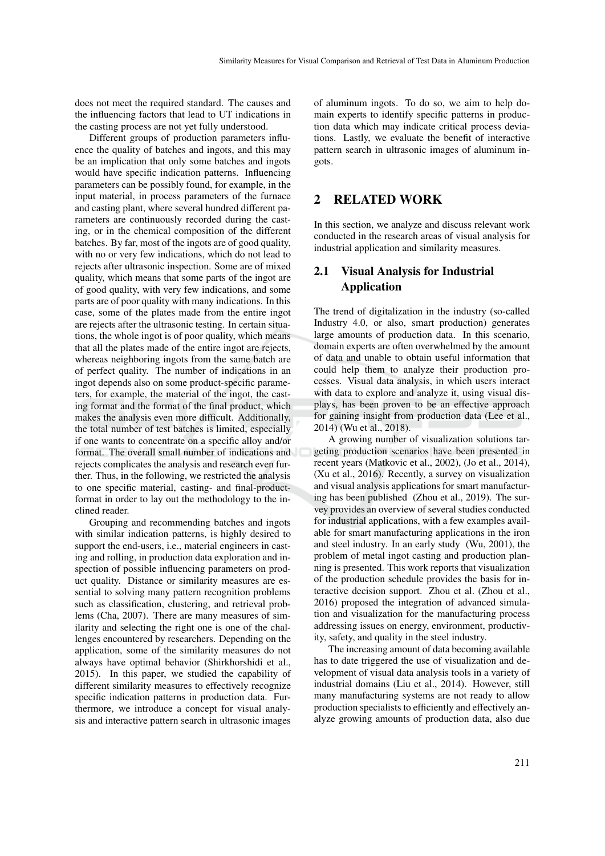does not meet the required standard. The causes and the influencing factors that lead to UT indications in the casting process are not yet fully understood.

Different groups of production parameters influence the quality of batches and ingots, and this may be an implication that only some batches and ingots would have specific indication patterns. Influencing parameters can be possibly found, for example, in the input material, in process parameters of the furnace and casting plant, where several hundred different parameters are continuously recorded during the casting, or in the chemical composition of the different batches. By far, most of the ingots are of good quality, with no or very few indications, which do not lead to rejects after ultrasonic inspection. Some are of mixed quality, which means that some parts of the ingot are of good quality, with very few indications, and some parts are of poor quality with many indications. In this case, some of the plates made from the entire ingot are rejects after the ultrasonic testing. In certain situations, the whole ingot is of poor quality, which means that all the plates made of the entire ingot are rejects, whereas neighboring ingots from the same batch are of perfect quality. The number of indications in an ingot depends also on some product-specific parameters, for example, the material of the ingot, the casting format and the format of the final product, which makes the analysis even more difficult. Additionally, the total number of test batches is limited, especially if one wants to concentrate on a specific alloy and/or format. The overall small number of indications and rejects complicates the analysis and research even further. Thus, in the following, we restricted the analysis to one specific material, casting- and final-productformat in order to lay out the methodology to the inclined reader.

Grouping and recommending batches and ingots with similar indication patterns, is highly desired to support the end-users, i.e., material engineers in casting and rolling, in production data exploration and inspection of possible influencing parameters on product quality. Distance or similarity measures are essential to solving many pattern recognition problems such as classification, clustering, and retrieval problems (Cha, 2007). There are many measures of similarity and selecting the right one is one of the challenges encountered by researchers. Depending on the application, some of the similarity measures do not always have optimal behavior (Shirkhorshidi et al., 2015). In this paper, we studied the capability of different similarity measures to effectively recognize specific indication patterns in production data. Furthermore, we introduce a concept for visual analysis and interactive pattern search in ultrasonic images

of aluminum ingots. To do so, we aim to help domain experts to identify specific patterns in production data which may indicate critical process deviations. Lastly, we evaluate the benefit of interactive pattern search in ultrasonic images of aluminum ingots.

### 2 RELATED WORK

In this section, we analyze and discuss relevant work conducted in the research areas of visual analysis for industrial application and similarity measures.

## 2.1 Visual Analysis for Industrial Application

The trend of digitalization in the industry (so-called Industry 4.0, or also, smart production) generates large amounts of production data. In this scenario, domain experts are often overwhelmed by the amount of data and unable to obtain useful information that could help them to analyze their production processes. Visual data analysis, in which users interact with data to explore and analyze it, using visual displays, has been proven to be an effective approach for gaining insight from production data (Lee et al., 2014) (Wu et al., 2018).

A growing number of visualization solutions targeting production scenarios have been presented in recent years (Matkovic et al., 2002), (Jo et al., 2014), (Xu et al., 2016). Recently, a survey on visualization and visual analysis applications for smart manufacturing has been published (Zhou et al., 2019). The survey provides an overview of several studies conducted for industrial applications, with a few examples available for smart manufacturing applications in the iron and steel industry. In an early study (Wu, 2001), the problem of metal ingot casting and production planning is presented. This work reports that visualization of the production schedule provides the basis for interactive decision support. Zhou et al. (Zhou et al., 2016) proposed the integration of advanced simulation and visualization for the manufacturing process addressing issues on energy, environment, productivity, safety, and quality in the steel industry.

The increasing amount of data becoming available has to date triggered the use of visualization and development of visual data analysis tools in a variety of industrial domains (Liu et al., 2014). However, still many manufacturing systems are not ready to allow production specialists to efficiently and effectively analyze growing amounts of production data, also due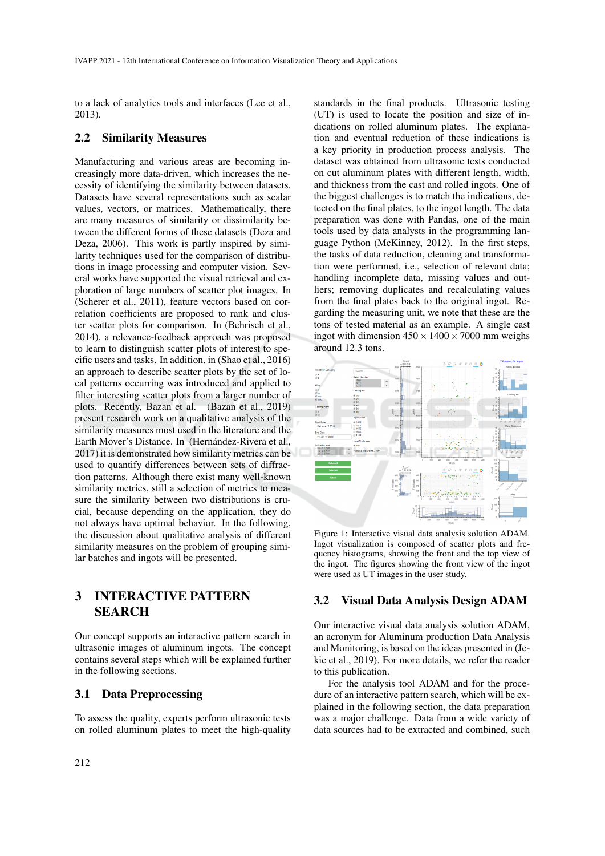to a lack of analytics tools and interfaces (Lee et al., 2013).

#### 2.2 Similarity Measures

Manufacturing and various areas are becoming increasingly more data-driven, which increases the necessity of identifying the similarity between datasets. Datasets have several representations such as scalar values, vectors, or matrices. Mathematically, there are many measures of similarity or dissimilarity between the different forms of these datasets (Deza and Deza, 2006). This work is partly inspired by similarity techniques used for the comparison of distributions in image processing and computer vision. Several works have supported the visual retrieval and exploration of large numbers of scatter plot images. In (Scherer et al., 2011), feature vectors based on correlation coefficients are proposed to rank and cluster scatter plots for comparison. In (Behrisch et al., 2014), a relevance-feedback approach was proposed to learn to distinguish scatter plots of interest to specific users and tasks. In addition, in (Shao et al., 2016) an approach to describe scatter plots by the set of local patterns occurring was introduced and applied to filter interesting scatter plots from a larger number of plots. Recently, Bazan et al. (Bazan et al., 2019) present research work on a qualitative analysis of the similarity measures most used in the literature and the Earth Mover's Distance. In (Hernández-Rivera et al., 2017) it is demonstrated how similarity metrics can be used to quantify differences between sets of diffraction patterns. Although there exist many well-known similarity metrics, still a selection of metrics to measure the similarity between two distributions is crucial, because depending on the application, they do not always have optimal behavior. In the following, the discussion about qualitative analysis of different similarity measures on the problem of grouping similar batches and ingots will be presented.

## 3 INTERACTIVE PATTERN SEARCH

Our concept supports an interactive pattern search in ultrasonic images of aluminum ingots. The concept contains several steps which will be explained further in the following sections.

### 3.1 Data Preprocessing

To assess the quality, experts perform ultrasonic tests on rolled aluminum plates to meet the high-quality

standards in the final products. Ultrasonic testing (UT) is used to locate the position and size of indications on rolled aluminum plates. The explanation and eventual reduction of these indications is a key priority in production process analysis. The dataset was obtained from ultrasonic tests conducted on cut aluminum plates with different length, width, and thickness from the cast and rolled ingots. One of the biggest challenges is to match the indications, detected on the final plates, to the ingot length. The data preparation was done with Pandas, one of the main tools used by data analysts in the programming language Python (McKinney, 2012). In the first steps, the tasks of data reduction, cleaning and transformation were performed, i.e., selection of relevant data; handling incomplete data, missing values and outliers; removing duplicates and recalculating values from the final plates back to the original ingot. Regarding the measuring unit, we note that these are the tons of tested material as an example. A single cast ingot with dimension  $450 \times 1400 \times 7000$  mm weighs around 12.3 tons.



Figure 1: Interactive visual data analysis solution ADAM. Ingot visualization is composed of scatter plots and frequency histograms, showing the front and the top view of the ingot. The figures showing the front view of the ingot were used as UT images in the user study.

#### 3.2 Visual Data Analysis Design ADAM

Our interactive visual data analysis solution ADAM, an acronym for Aluminum production Data Analysis and Monitoring, is based on the ideas presented in (Jekic et al., 2019). For more details, we refer the reader to this publication.

For the analysis tool ADAM and for the procedure of an interactive pattern search, which will be explained in the following section, the data preparation was a major challenge. Data from a wide variety of data sources had to be extracted and combined, such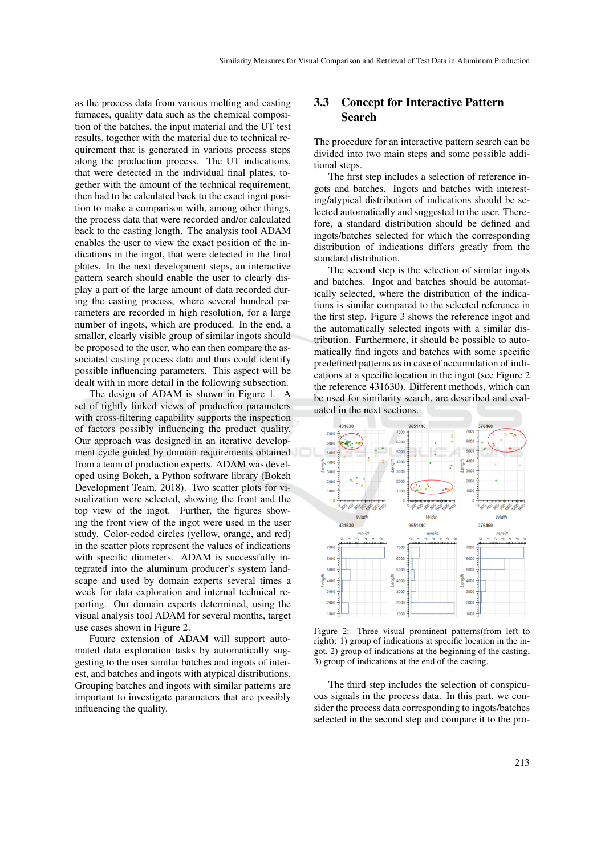as the process data from various melting and casting furnaces, quality data such as the chemical composition of the batches, the input material and the UT test results, together with the material due to technical requirement that is generated in various process steps along the production process. The UT indications, that were detected in the individual final plates, together with the amount of the technical requirement, then had to be calculated back to the exact ingot position to make a comparison with, among other things, the process data that were recorded and/or calculated back to the casting length. The analysis tool ADAM enables the user to view the exact position of the indications in the ingot, that were detected in the final plates. In the next development steps, an interactive pattern search should enable the user to clearly display a part of the large amount of data recorded during the casting process, where several hundred parameters are recorded in high resolution, for a large number of ingots, which are produced. In the end, a smaller, clearly visible group of similar ingots should be proposed to the user, who can then compare the associated casting process data and thus could identify possible influencing parameters. This aspect will be dealt with in more detail in the following subsection.

The design of ADAM is shown in Figure 1. A set of tightly linked views of production parameters with cross-filtering capability supports the inspection of factors possibly influencing the product quality. Our approach was designed in an iterative development cycle guided by domain requirements obtained from a team of production experts. ADAM was developed using Bokeh, a Python software library (Bokeh Development Team, 2018). Two scatter plots for visualization were selected, showing the front and the top view of the ingot. Further, the figures showing the front view of the ingot were used in the user study. Color-coded circles (yellow, orange, and red) in the scatter plots represent the values of indications with specific diameters. ADAM is successfully integrated into the aluminum producer's system landscape and used by domain experts several times a week for data exploration and internal technical reporting. Our domain experts determined, using the visual analysis tool ADAM for several months, target use cases shown in Figure 2.

Future extension of ADAM will support automated data exploration tasks by automatically suggesting to the user similar batches and ingots of interest, and batches and ingots with atypical distributions. Grouping batches and ingots with similar patterns are important to investigate parameters that are possibly influencing the quality.

### 3.3 Concept for Interactive Pattern Search

The procedure for an interactive pattern search can be divided into two main steps and some possible additional steps.

The first step includes a selection of reference ingots and batches. Ingots and batches with interesting/atypical distribution of indications should be selected automatically and suggested to the user. Therefore, a standard distribution should be defined and ingots/batches selected for which the corresponding distribution of indications differs greatly from the standard distribution.

The second step is the selection of similar ingots and batches. Ingot and batches should be automatically selected, where the distribution of the indications is similar compared to the selected reference in the first step. Figure 3 shows the reference ingot and the automatically selected ingots with a similar distribution. Furthermore, it should be possible to automatically find ingots and batches with some specific predefined patterns as in case of accumulation of indications at a specific location in the ingot (see Figure 2 the reference 431630). Different methods, which can be used for similarity search, are described and evaluated in the next sections.



Figure 2: Three visual prominent patterns(from left to right): 1) group of indications at specific location in the ingot, 2) group of indications at the beginning of the casting, 3) group of indications at the end of the casting.

The third step includes the selection of conspicuous signals in the process data. In this part, we consider the process data corresponding to ingots/batches selected in the second step and compare it to the pro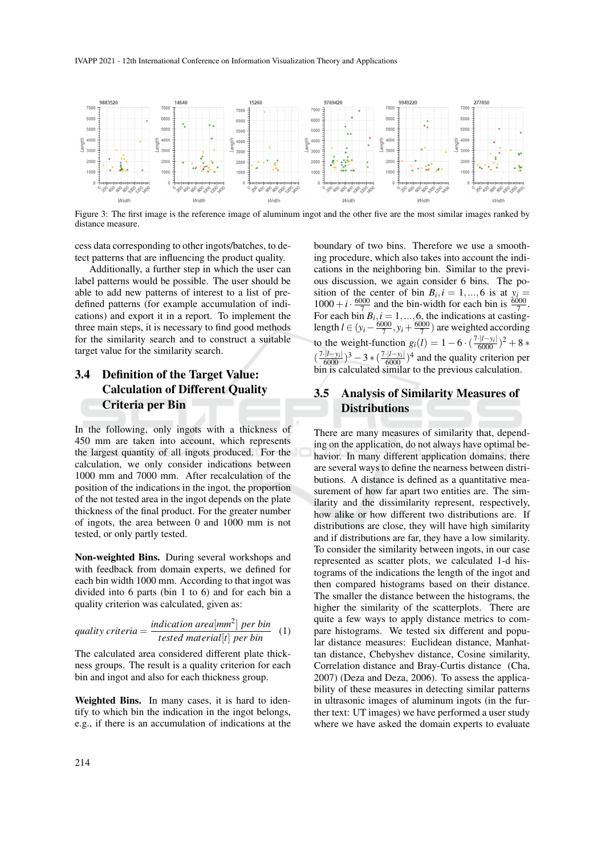IVAPP 2021 - 12th International Conference on Information Visualization Theory and Applications



Figure 3: The first image is the reference image of aluminum ingot and the other five are the most similar images ranked by distance measure.

cess data corresponding to other ingots/batches, to detect patterns that are influencing the product quality.

Additionally, a further step in which the user can label patterns would be possible. The user should be able to add new patterns of interest to a list of predefined patterns (for example accumulation of indications) and export it in a report. To implement the three main steps, it is necessary to find good methods for the similarity search and to construct a suitable target value for the similarity search.

## 3.4 Definition of the Target Value: Calculation of Different Quality Criteria per Bin

In the following, only ingots with a thickness of 450 mm are taken into account, which represents the largest quantity of all ingots produced. For the calculation, we only consider indications between 1000 mm and 7000 mm. After recalculation of the position of the indications in the ingot, the proportion of the not tested area in the ingot depends on the plate thickness of the final product. For the greater number of ingots, the area between 0 and 1000 mm is not tested, or only partly tested.

Non-weighted Bins. During several workshops and with feedback from domain experts, we defined for each bin width 1000 mm. According to that ingot was divided into 6 parts (bin 1 to 6) and for each bin a quality criterion was calculated, given as:

quality criteria = 
$$
\frac{indication \text{ area}[mm^2] \text{ per bin}}{\text{tested material}[t] \text{ per bin}}
$$
 (1)

The calculated area considered different plate thickness groups. The result is a quality criterion for each bin and ingot and also for each thickness group.

Weighted Bins. In many cases, it is hard to identify to which bin the indication in the ingot belongs, e.g., if there is an accumulation of indications at the boundary of two bins. Therefore we use a smoothing procedure, which also takes into account the indications in the neighboring bin. Similar to the previous discussion, we again consider 6 bins. The position of the center of bin  $B_i$ ,  $i = 1, ..., 6$  is at  $y_i =$  $1000+i \cdot \frac{6000}{7}$  and the bin-width for each bin is  $\frac{6000}{7}$ . For each bin  $B_i$ ,  $i = 1, ..., 6$ , the indications at castinglength  $l \in (y_i - \frac{6000}{7}, y_i + \frac{6000}{7})$  are weighted according to the weight-function  $g_i(l) = 1 - 6 \cdot (\frac{7 \cdot |l - y_i|}{6000})^2 + 8 *$  $(\frac{7 \cdot |l-y_i|}{6000})^3 - 3 \cdot (\frac{7 \cdot |l-y_i|}{6000})^4$  and the quality criterion per bin is calculated similar to the previous calculation.

### 3.5 Analysis of Similarity Measures of **Distributions**

There are many measures of similarity that, depending on the application, do not always have optimal behavior. In many different application domains, there are several ways to define the nearness between distributions. A distance is defined as a quantitative measurement of how far apart two entities are. The similarity and the dissimilarity represent, respectively, how alike or how different two distributions are. If distributions are close, they will have high similarity and if distributions are far, they have a low similarity. To consider the similarity between ingots, in our case represented as scatter plots, we calculated 1-d histograms of the indications the length of the ingot and then compared histograms based on their distance. The smaller the distance between the histograms, the higher the similarity of the scatterplots. There are quite a few ways to apply distance metrics to compare histograms. We tested six different and popular distance measures: Euclidean distance, Manhattan distance, Chebyshev distance, Cosine similarity, Correlation distance and Bray-Curtis distance (Cha, 2007) (Deza and Deza, 2006). To assess the applicability of these measures in detecting similar patterns in ultrasonic images of aluminum ingots (in the further text: UT images) we have performed a user study where we have asked the domain experts to evaluate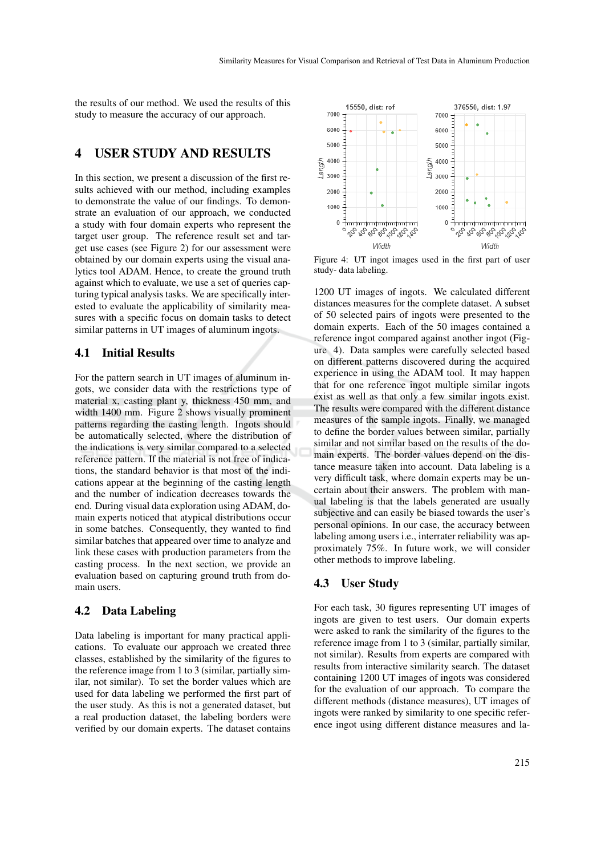the results of our method. We used the results of this study to measure the accuracy of our approach.

## 4 USER STUDY AND RESULTS

In this section, we present a discussion of the first results achieved with our method, including examples to demonstrate the value of our findings. To demonstrate an evaluation of our approach, we conducted a study with four domain experts who represent the target user group. The reference result set and target use cases (see Figure 2) for our assessment were obtained by our domain experts using the visual analytics tool ADAM. Hence, to create the ground truth against which to evaluate, we use a set of queries capturing typical analysis tasks. We are specifically interested to evaluate the applicability of similarity measures with a specific focus on domain tasks to detect similar patterns in UT images of aluminum ingots.

#### 4.1 Initial Results

For the pattern search in UT images of aluminum ingots, we consider data with the restrictions type of material x, casting plant y, thickness 450 mm, and width 1400 mm. Figure 2 shows visually prominent patterns regarding the casting length. Ingots should be automatically selected, where the distribution of the indications is very similar compared to a selected reference pattern. If the material is not free of indications, the standard behavior is that most of the indications appear at the beginning of the casting length and the number of indication decreases towards the end. During visual data exploration using ADAM, domain experts noticed that atypical distributions occur in some batches. Consequently, they wanted to find similar batches that appeared over time to analyze and link these cases with production parameters from the casting process. In the next section, we provide an evaluation based on capturing ground truth from domain users.

### 4.2 Data Labeling

Data labeling is important for many practical applications. To evaluate our approach we created three classes, established by the similarity of the figures to the reference image from 1 to 3 (similar, partially similar, not similar). To set the border values which are used for data labeling we performed the first part of the user study. As this is not a generated dataset, but a real production dataset, the labeling borders were verified by our domain experts. The dataset contains



Figure 4: UT ingot images used in the first part of user study- data labeling.

1200 UT images of ingots. We calculated different distances measures for the complete dataset. A subset of 50 selected pairs of ingots were presented to the domain experts. Each of the 50 images contained a reference ingot compared against another ingot (Figure 4). Data samples were carefully selected based on different patterns discovered during the acquired experience in using the ADAM tool. It may happen that for one reference ingot multiple similar ingots exist as well as that only a few similar ingots exist. The results were compared with the different distance measures of the sample ingots. Finally, we managed to define the border values between similar, partially similar and not similar based on the results of the domain experts. The border values depend on the distance measure taken into account. Data labeling is a very difficult task, where domain experts may be uncertain about their answers. The problem with manual labeling is that the labels generated are usually subjective and can easily be biased towards the user's personal opinions. In our case, the accuracy between labeling among users i.e., interrater reliability was approximately 75%. In future work, we will consider other methods to improve labeling.

#### 4.3 User Study

For each task, 30 figures representing UT images of ingots are given to test users. Our domain experts were asked to rank the similarity of the figures to the reference image from 1 to 3 (similar, partially similar, not similar). Results from experts are compared with results from interactive similarity search. The dataset containing 1200 UT images of ingots was considered for the evaluation of our approach. To compare the different methods (distance measures), UT images of ingots were ranked by similarity to one specific reference ingot using different distance measures and la-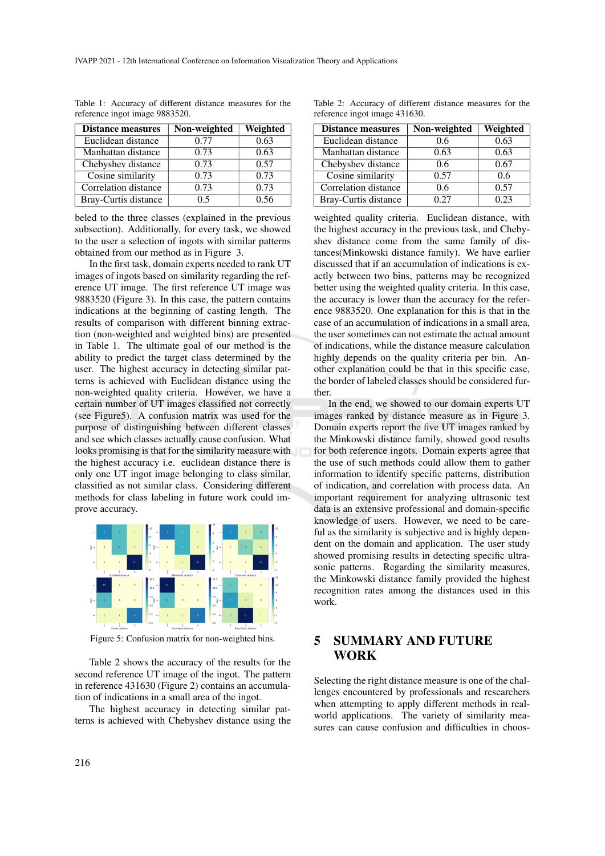| <b>Distance measures</b> | Non-weighted | Weighted |
|--------------------------|--------------|----------|
| Euclidean distance       | 0.77         | 0.63     |
| Manhattan distance       | 0.73         | 0.63     |
| Chebyshev distance       | 0.73         | 0.57     |
| Cosine similarity        | 0.73         | 0.73     |
| Correlation distance     | 0.73         | 0.73     |
| Bray-Curtis distance     | 0.5          | 0.56     |

Table 1: Accuracy of different distance measures for the reference ingot image 9883520.

beled to the three classes (explained in the previous subsection). Additionally, for every task, we showed to the user a selection of ingots with similar patterns obtained from our method as in Figure 3.

In the first task, domain experts needed to rank UT images of ingots based on similarity regarding the reference UT image. The first reference UT image was 9883520 (Figure 3). In this case, the pattern contains indications at the beginning of casting length. The results of comparison with different binning extraction (non-weighted and weighted bins) are presented in Table 1. The ultimate goal of our method is the ability to predict the target class determined by the user. The highest accuracy in detecting similar patterns is achieved with Euclidean distance using the non-weighted quality criteria. However, we have a certain number of UT images classified not correctly (see Figure5). A confusion matrix was used for the purpose of distinguishing between different classes and see which classes actually cause confusion. What looks promising is that for the similarity measure with the highest accuracy i.e. euclidean distance there is only one UT ingot image belonging to class similar, classified as not similar class. Considering different methods for class labeling in future work could improve accuracy.



Figure 5: Confusion matrix for non-weighted bins.

Table 2 shows the accuracy of the results for the second reference UT image of the ingot. The pattern in reference 431630 (Figure 2) contains an accumulation of indications in a small area of the ingot.

The highest accuracy in detecting similar patterns is achieved with Chebyshev distance using the

Table 2: Accuracy of different distance measures for the reference ingot image 431630.

| <b>Distance measures</b> | Non-weighted | Weighted |
|--------------------------|--------------|----------|
| Euclidean distance       | 0.6          | 0.63     |
| Manhattan distance       | 0.63         | 0.63     |
| Chebyshev distance       | 0.6          | 0.67     |
| Cosine similarity        | 0.57         | 0.6      |
| Correlation distance     | 0.6          | 0.57     |
| Bray-Curtis distance     | 0.27         | 0.23     |

weighted quality criteria. Euclidean distance, with the highest accuracy in the previous task, and Chebyshev distance come from the same family of distances(Minkowski distance family). We have earlier discussed that if an accumulation of indications is exactly between two bins, patterns may be recognized better using the weighted quality criteria. In this case, the accuracy is lower than the accuracy for the reference 9883520. One explanation for this is that in the case of an accumulation of indications in a small area, the user sometimes can not estimate the actual amount of indications, while the distance measure calculation highly depends on the quality criteria per bin. Another explanation could be that in this specific case, the border of labeled classes should be considered further.

In the end, we showed to our domain experts UT images ranked by distance measure as in Figure 3. Domain experts report the five UT images ranked by the Minkowski distance family, showed good results for both reference ingots. Domain experts agree that the use of such methods could allow them to gather information to identify specific patterns, distribution of indication, and correlation with process data. An important requirement for analyzing ultrasonic test data is an extensive professional and domain-specific knowledge of users. However, we need to be careful as the similarity is subjective and is highly dependent on the domain and application. The user study showed promising results in detecting specific ultrasonic patterns. Regarding the similarity measures, the Minkowski distance family provided the highest recognition rates among the distances used in this work.

## 5 SUMMARY AND FUTURE WORK

Selecting the right distance measure is one of the challenges encountered by professionals and researchers when attempting to apply different methods in realworld applications. The variety of similarity measures can cause confusion and difficulties in choos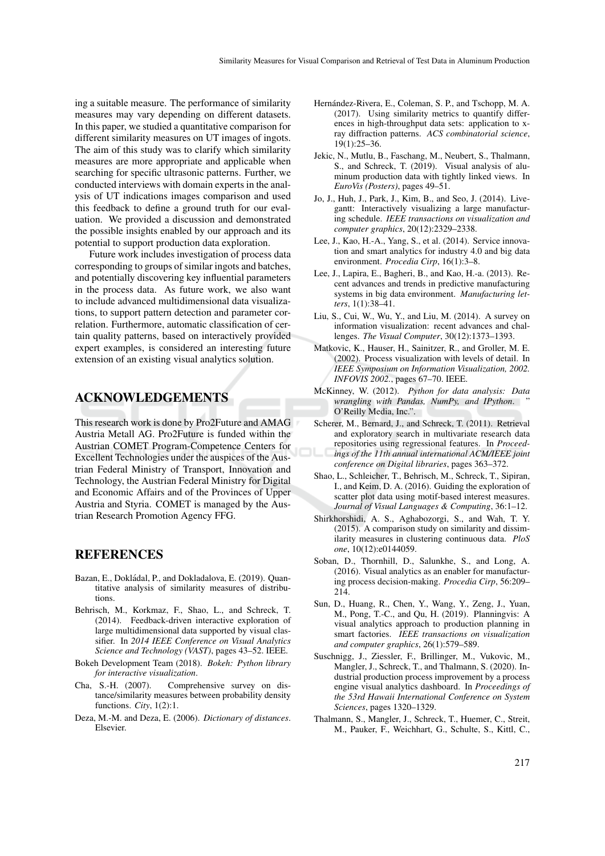ing a suitable measure. The performance of similarity measures may vary depending on different datasets. In this paper, we studied a quantitative comparison for different similarity measures on UT images of ingots. The aim of this study was to clarify which similarity measures are more appropriate and applicable when searching for specific ultrasonic patterns. Further, we conducted interviews with domain experts in the analysis of UT indications images comparison and used this feedback to define a ground truth for our evaluation. We provided a discussion and demonstrated the possible insights enabled by our approach and its potential to support production data exploration.

Future work includes investigation of process data corresponding to groups of similar ingots and batches, and potentially discovering key influential parameters in the process data. As future work, we also want to include advanced multidimensional data visualizations, to support pattern detection and parameter correlation. Furthermore, automatic classification of certain quality patterns, based on interactively provided expert examples, is considered an interesting future extension of an existing visual analytics solution.

### ACKNOWLEDGEMENTS

This research work is done by Pro2Future and AMAG Austria Metall AG. Pro2Future is funded within the Austrian COMET Program-Competence Centers for Excellent Technologies under the auspices of the Austrian Federal Ministry of Transport, Innovation and Technology, the Austrian Federal Ministry for Digital and Economic Affairs and of the Provinces of Upper Austria and Styria. COMET is managed by the Austrian Research Promotion Agency FFG.

### **REFERENCES**

- Bazan, E., Dokládal, P., and Dokladalova, E. (2019). Quantitative analysis of similarity measures of distributions.
- Behrisch, M., Korkmaz, F., Shao, L., and Schreck, T. (2014). Feedback-driven interactive exploration of large multidimensional data supported by visual classifier. In *2014 IEEE Conference on Visual Analytics Science and Technology (VAST)*, pages 43–52. IEEE.
- Bokeh Development Team (2018). *Bokeh: Python library for interactive visualization*.
- Cha, S.-H. (2007). Comprehensive survey on distance/similarity measures between probability density functions. *City*, 1(2):1.
- Deza, M.-M. and Deza, E. (2006). *Dictionary of distances*. Elsevier.
- Hernández-Rivera, E., Coleman, S. P., and Tschopp, M. A. (2017). Using similarity metrics to quantify differences in high-throughput data sets: application to xray diffraction patterns. *ACS combinatorial science*, 19(1):25–36.
- Jekic, N., Mutlu, B., Faschang, M., Neubert, S., Thalmann, S., and Schreck, T. (2019). Visual analysis of aluminum production data with tightly linked views. In *EuroVis (Posters)*, pages 49–51.
- Jo, J., Huh, J., Park, J., Kim, B., and Seo, J. (2014). Livegantt: Interactively visualizing a large manufacturing schedule. *IEEE transactions on visualization and computer graphics*, 20(12):2329–2338.
- Lee, J., Kao, H.-A., Yang, S., et al. (2014). Service innovation and smart analytics for industry 4.0 and big data environment. *Procedia Cirp*, 16(1):3–8.
- Lee, J., Lapira, E., Bagheri, B., and Kao, H.-a. (2013). Recent advances and trends in predictive manufacturing systems in big data environment. *Manufacturing letters*, 1(1):38–41.
- Liu, S., Cui, W., Wu, Y., and Liu, M. (2014). A survey on information visualization: recent advances and challenges. *The Visual Computer*, 30(12):1373–1393.
- Matkovic, K., Hauser, H., Sainitzer, R., and Groller, M. E. (2002). Process visualization with levels of detail. In *IEEE Symposium on Information Visualization, 2002. INFOVIS 2002.*, pages 67–70. IEEE.
- McKinney, W. (2012). *Python for data analysis: Data wrangling with Pandas, NumPy, and IPython*. " O'Reilly Media, Inc.".
- Scherer, M., Bernard, J., and Schreck, T. (2011). Retrieval and exploratory search in multivariate research data repositories using regressional features. In *Proceedings of the 11th annual international ACM/IEEE joint conference on Digital libraries*, pages 363–372.
- Shao, L., Schleicher, T., Behrisch, M., Schreck, T., Sipiran, I., and Keim, D. A. (2016). Guiding the exploration of scatter plot data using motif-based interest measures. *Journal of Visual Languages & Computing*, 36:1–12.
- Shirkhorshidi, A. S., Aghabozorgi, S., and Wah, T. Y. (2015). A comparison study on similarity and dissimilarity measures in clustering continuous data. *PloS one*, 10(12):e0144059.
- Soban, D., Thornhill, D., Salunkhe, S., and Long, A. (2016). Visual analytics as an enabler for manufacturing process decision-making. *Procedia Cirp*, 56:209– 214.
- Sun, D., Huang, R., Chen, Y., Wang, Y., Zeng, J., Yuan, M., Pong, T.-C., and Qu, H. (2019). Planningvis: A visual analytics approach to production planning in smart factories. *IEEE transactions on visualization and computer graphics*, 26(1):579–589.
- Suschnigg, J., Ziessler, F., Brillinger, M., Vukovic, M., Mangler, J., Schreck, T., and Thalmann, S. (2020). Industrial production process improvement by a process engine visual analytics dashboard. In *Proceedings of the 53rd Hawaii International Conference on System Sciences*, pages 1320–1329.
- Thalmann, S., Mangler, J., Schreck, T., Huemer, C., Streit, M., Pauker, F., Weichhart, G., Schulte, S., Kittl, C.,